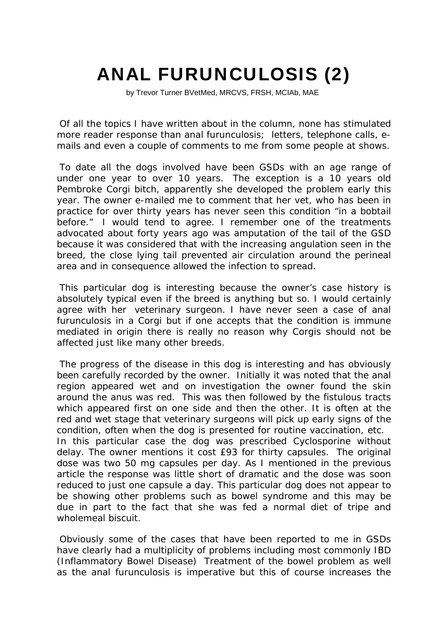## ANAL FURUNCULOSIS (2)

by Trevor Turner BVetMed, MRCVS, FRSH, MCIAb, MAE

Of all the topics I have written about in the column, none has stimulated more reader response than anal furunculosis; letters, telephone calls, emails and even a couple of comments to me from some people at shows.

To date all the dogs involved have been GSDs with an age range of under one year to over 10 years. The exception is a 10 years old Pembroke Corgi bitch, apparently she developed the problem early this year. The owner e-mailed me to comment that her vet, who has been in practice for over thirty years has never seen this condition "in a bobtail before." I would tend to agree. I remember one of the treatments advocated about forty years ago was amputation of the tail of the GSD because it was considered that with the increasing angulation seen in the breed, the close lying tail prevented air circulation around the perineal area and in consequence allowed the infection to spread.

This particular dog is interesting because the owner's case history is absolutely typical even if the breed is anything but so. I would certainly agree with her veterinary surgeon. I have never seen a case of anal furunculosis in a Corgi but if one accepts that the condition is immune mediated in origin there is really no reason why Corgis should not be affected just like many other breeds.

The progress of the disease in this dog is interesting and has obviously been carefully recorded by the owner. Initially it was noted that the anal region appeared wet and on investigation the owner found the skin around the anus was red. This was then followed by the fistulous tracts which appeared first on one side and then the other. It is often at the red and wet stage that veterinary surgeons will pick up early signs of the condition, often when the dog is presented for routine vaccination, etc. In this particular case the dog was prescribed Cyclosporine without delay. The owner mentions it cost £93 for thirty capsules. The original dose was two 50 mg capsules per day. As I mentioned in the previous article the response was little short of dramatic and the dose was soon reduced to just one capsule a day. This particular dog does not appear to be showing other problems such as bowel syndrome and this may be due in part to the fact that she was fed a normal diet of tripe and wholemeal biscuit.

Obviously some of the cases that have been reported to me in GSDs have clearly had a multiplicity of problems including most commonly IBD (Inflammatory Bowel Disease) Treatment of the bowel problem as well as the anal furunculosis is imperative but this of course increases the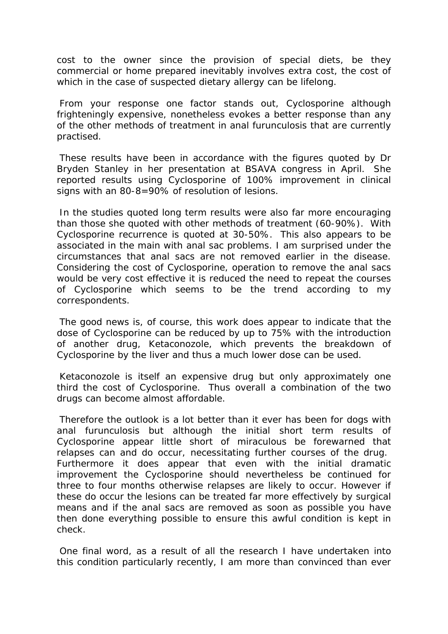cost to the owner since the provision of special diets, be they commercial or home prepared inevitably involves extra cost, the cost of which in the case of suspected dietary allergy can be lifelong.

From your response one factor stands out, Cyclosporine although frighteningly expensive, nonetheless evokes a better response than any of the other methods of treatment in anal furunculosis that are currently practised.

These results have been in accordance with the figures quoted by Dr Bryden Stanley in her presentation at BSAVA congress in April. She reported results using Cyclosporine of 100% improvement in clinical signs with an 80-8=90% of resolution of lesions.

In the studies quoted long term results were also far more encouraging than those she quoted with other methods of treatment (60-90%). With Cyclosporine recurrence is quoted at 30-50%. This also appears to be associated in the main with anal sac problems. I am surprised under the circumstances that anal sacs are not removed earlier in the disease. Considering the cost of Cyclosporine, operation to remove the anal sacs would be very cost effective it is reduced the need to repeat the courses of Cyclosporine which seems to be the trend according to my correspondents.

The good news is, of course, this work does appear to indicate that the dose of Cyclosporine can be reduced by up to 75% with the introduction of another drug, Ketaconozole, which prevents the breakdown of Cyclosporine by the liver and thus a much lower dose can be used.

Ketaconozole is itself an expensive drug but only approximately one third the cost of Cyclosporine. Thus overall a combination of the two drugs can become almost affordable.

Therefore the outlook is a lot better than it ever has been for dogs with anal furunculosis but although the initial short term results of Cyclosporine appear little short of miraculous be forewarned that relapses can and do occur, necessitating further courses of the drug. Furthermore it does appear that even with the initial dramatic improvement the Cyclosporine should nevertheless be continued for three to four months otherwise relapses are likely to occur. However if these do occur the lesions can be treated far more effectively by surgical means and if the anal sacs are removed as soon as possible you have then done everything possible to ensure this awful condition is kept in check.

One final word, as a result of all the research I have undertaken into this condition particularly recently, I am more than convinced than ever